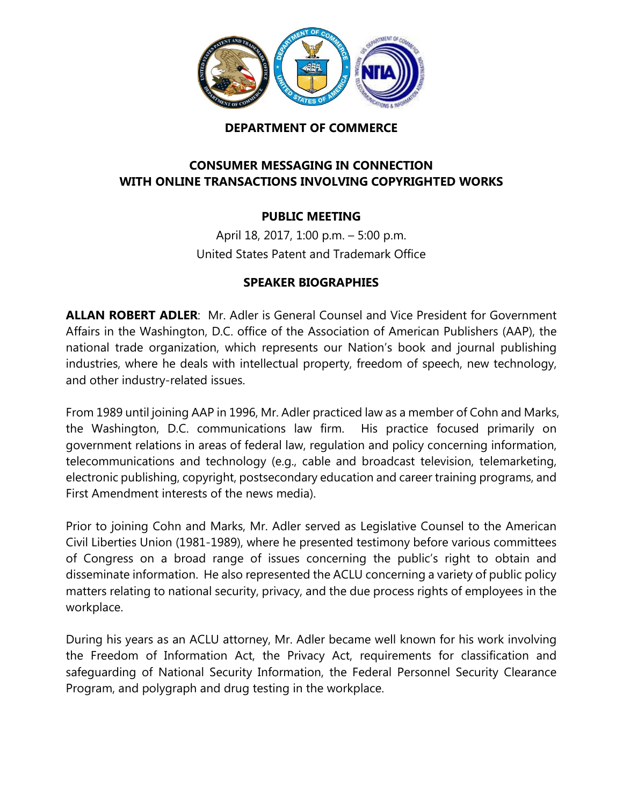

## **DEPARTMENT OF COMMERCE**

## **CONSUMER MESSAGING IN CONNECTION WITH ONLINE TRANSACTIONS INVOLVING COPYRIGHTED WORKS**

## **PUBLIC MEETING**

April 18, 2017, 1:00 p.m. – 5:00 p.m. United States Patent and Trademark Office

## **SPEAKER BIOGRAPHIES**

**ALLAN ROBERT ADLER**: Mr. Adler is General Counsel and Vice President for Government Affairs in the Washington, D.C. office of the Association of American Publishers (AAP), the national trade organization, which represents our Nation's book and journal publishing industries, where he deals with intellectual property, freedom of speech, new technology, and other industry-related issues.

From 1989 until joining AAP in 1996, Mr. Adler practiced law as a member of Cohn and Marks, the Washington, D.C. communications law firm. His practice focused primarily on government relations in areas of federal law, regulation and policy concerning information, telecommunications and technology (e.g., cable and broadcast television, telemarketing, electronic publishing, copyright, postsecondary education and career training programs, and First Amendment interests of the news media).

Prior to joining Cohn and Marks, Mr. Adler served as Legislative Counsel to the American Civil Liberties Union (1981-1989), where he presented testimony before various committees of Congress on a broad range of issues concerning the public's right to obtain and disseminate information. He also represented the ACLU concerning a variety of public policy matters relating to national security, privacy, and the due process rights of employees in the workplace.

During his years as an ACLU attorney, Mr. Adler became well known for his work involving the Freedom of Information Act, the Privacy Act, requirements for classification and safeguarding of National Security Information, the Federal Personnel Security Clearance Program, and polygraph and drug testing in the workplace.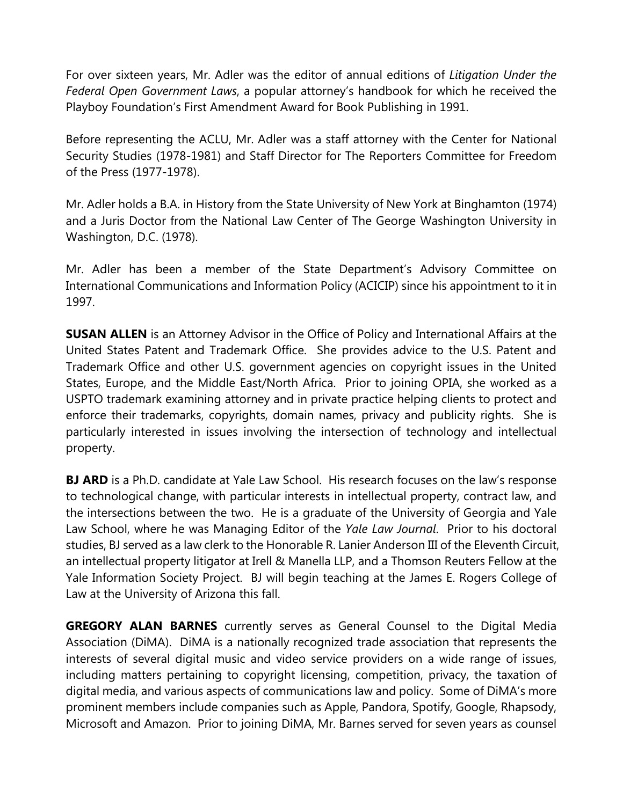For over sixteen years, Mr. Adler was the editor of annual editions of *Litigation Under the Federal Open Government Laws*, a popular attorney's handbook for which he received the Playboy Foundation's First Amendment Award for Book Publishing in 1991.

Before representing the ACLU, Mr. Adler was a staff attorney with the Center for National Security Studies (1978-1981) and Staff Director for The Reporters Committee for Freedom of the Press (1977-1978).

Mr. Adler holds a B.A. in History from the State University of New York at Binghamton (1974) and a Juris Doctor from the National Law Center of The George Washington University in Washington, D.C. (1978).

Mr. Adler has been a member of the State Department's Advisory Committee on International Communications and Information Policy (ACICIP) since his appointment to it in 1997.

**SUSAN ALLEN** is an Attorney Advisor in the Office of Policy and International Affairs at the United States Patent and Trademark Office. She provides advice to the U.S. Patent and Trademark Office and other U.S. government agencies on copyright issues in the United States, Europe, and the Middle East/North Africa. Prior to joining OPIA, she worked as a USPTO trademark examining attorney and in private practice helping clients to protect and enforce their trademarks, copyrights, domain names, privacy and publicity rights. She is particularly interested in issues involving the intersection of technology and intellectual property.

**BJ ARD** is a Ph.D. candidate at Yale Law School. His research focuses on the law's response to technological change, with particular interests in intellectual property, contract law, and the intersections between the two. He is a graduate of the University of Georgia and Yale Law School, where he was Managing Editor of the *Yale Law Journal*. Prior to his doctoral studies, BJ served as a law clerk to the Honorable R. Lanier Anderson III of the Eleventh Circuit, an intellectual property litigator at Irell & Manella LLP, and a Thomson Reuters Fellow at the Yale Information Society Project. BJ will begin teaching at the James E. Rogers College of Law at the University of Arizona this fall.

**GREGORY ALAN BARNES** currently serves as General Counsel to the Digital Media Association (DiMA). DiMA is a nationally recognized trade association that represents the interests of several digital music and video service providers on a wide range of issues, including matters pertaining to copyright licensing, competition, privacy, the taxation of digital media, and various aspects of communications law and policy. Some of DiMA's more prominent members include companies such as Apple, Pandora, Spotify, Google, Rhapsody, Microsoft and Amazon. Prior to joining DiMA, Mr. Barnes served for seven years as counsel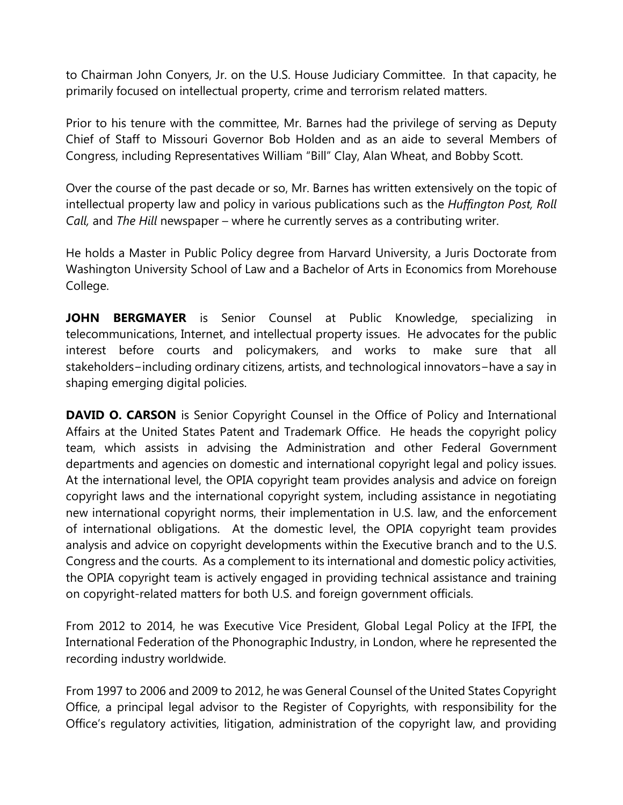to Chairman John Conyers, Jr. on the U.S. House Judiciary Committee. In that capacity, he primarily focused on intellectual property, crime and terrorism related matters.

Prior to his tenure with the committee, Mr. Barnes had the privilege of serving as Deputy Chief of Staff to Missouri Governor Bob Holden and as an aide to several Members of Congress, including Representatives William "Bill" Clay, Alan Wheat, and Bobby Scott.

Over the course of the past decade or so, Mr. Barnes has written extensively on the topic of intellectual property law and policy in various publications such as the *Huffington Post, Roll Call,* and *The Hill* newspaper – where he currently serves as a contributing writer.

He holds a Master in Public Policy degree from Harvard University, a Juris Doctorate from Washington University School of Law and a Bachelor of Arts in Economics from Morehouse College.

**JOHN BERGMAYER** is Senior Counsel at Public Knowledge, specializing in telecommunications, Internet, and intellectual property issues. He advocates for the public interest before courts and policymakers, and works to make sure that all stakeholders−including ordinary citizens, artists, and technological innovators−have a say in shaping emerging digital policies.

**DAVID O. CARSON** is Senior Copyright Counsel in the Office of Policy and International Affairs at the United States Patent and Trademark Office. He heads the copyright policy team, which assists in advising the Administration and other Federal Government departments and agencies on domestic and international copyright legal and policy issues. At the international level, the OPIA copyright team provides analysis and advice on foreign copyright laws and the international copyright system, including assistance in negotiating new international copyright norms, their implementation in U.S. law, and the enforcement of international obligations. At the domestic level, the OPIA copyright team provides analysis and advice on copyright developments within the Executive branch and to the U.S. Congress and the courts. As a complement to its international and domestic policy activities, the OPIA copyright team is actively engaged in providing technical assistance and training on copyright-related matters for both U.S. and foreign government officials.

From 2012 to 2014, he was Executive Vice President, Global Legal Policy at the IFPI, the International Federation of the Phonographic Industry, in London, where he represented the recording industry worldwide.

From 1997 to 2006 and 2009 to 2012, he was General Counsel of the United States Copyright Office, a principal legal advisor to the Register of Copyrights, with responsibility for the Office's regulatory activities, litigation, administration of the copyright law, and providing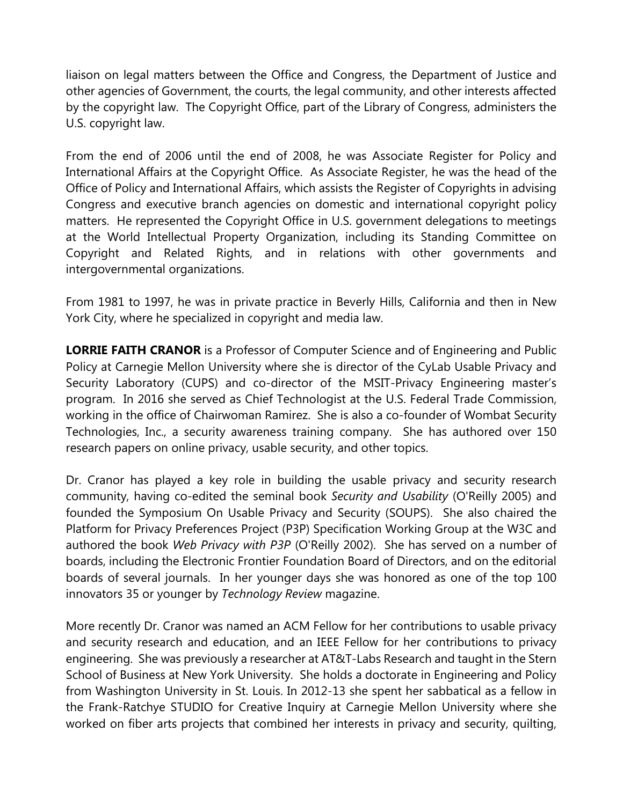liaison on legal matters between the Office and Congress, the Department of Justice and other agencies of Government, the courts, the legal community, and other interests affected by the copyright law. The Copyright Office, part of the Library of Congress, administers the U.S. copyright law.

From the end of 2006 until the end of 2008, he was Associate Register for Policy and International Affairs at the Copyright Office. As Associate Register, he was the head of the Office of Policy and International Affairs, which assists the Register of Copyrights in advising Congress and executive branch agencies on domestic and international copyright policy matters. He represented the Copyright Office in U.S. government delegations to meetings at the World Intellectual Property Organization, including its Standing Committee on Copyright and Related Rights, and in relations with other governments and intergovernmental organizations.

From 1981 to 1997, he was in private practice in Beverly Hills, California and then in New York City, where he specialized in copyright and media law.

**LORRIE FAITH CRANOR** is a Professor of Computer Science and of Engineering and Public Policy at Carnegie Mellon University where she is director of the CyLab Usable Privacy and Security Laboratory (CUPS) and co-director of the MSIT-Privacy Engineering master's program. In 2016 she served as Chief Technologist at the U.S. Federal Trade Commission, working in the office of Chairwoman Ramirez. She is also a co-founder of Wombat Security Technologies, Inc., a security awareness training company. She has authored over 150 research papers on online privacy, usable security, and other topics.

Dr. Cranor has played a key role in building the usable privacy and security research community, having co-edited the seminal book *Security and Usability* (O'Reilly 2005) and founded the Symposium On Usable Privacy and Security (SOUPS). She also chaired the Platform for Privacy Preferences Project (P3P) Specification Working Group at the W3C and authored the book *Web Privacy with P3P* (O'Reilly 2002). She has served on a number of boards, including the Electronic Frontier Foundation Board of Directors, and on the editorial boards of several journals. In her younger days she was honored as one of the top 100 innovators 35 or younger by *Technology Review* magazine.

More recently Dr. Cranor was named an ACM Fellow for her contributions to usable privacy and security research and education, and an IEEE Fellow for her contributions to privacy engineering. She was previously a researcher at AT&T-Labs Research and taught in the Stern School of Business at New York University. She holds a doctorate in Engineering and Policy from Washington University in St. Louis. In 2012-13 she spent her sabbatical as a fellow in the Frank-Ratchye STUDIO for Creative Inquiry at Carnegie Mellon University where she worked on fiber arts projects that combined her interests in privacy and security, quilting,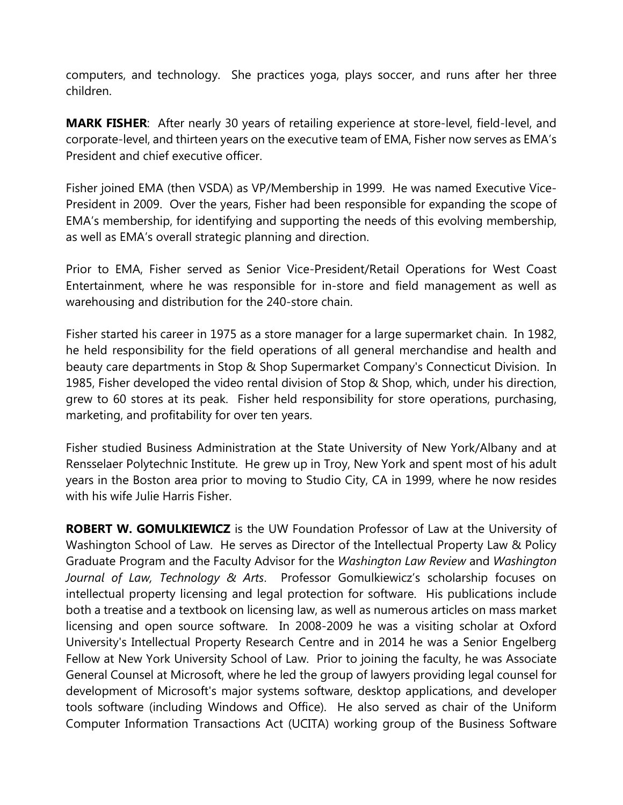computers, and technology. She practices yoga, plays soccer, and runs after her three children.

**MARK FISHER**:After nearly 30 years of retailing experience at store-level, field-level, and corporate-level, and thirteen years on the executive team of EMA, Fisher now serves as EMA's President and chief executive officer.

Fisher joined EMA (then VSDA) as VP/Membership in 1999. He was named Executive Vice-President in 2009. Over the years, Fisher had been responsible for expanding the scope of EMA's membership, for identifying and supporting the needs of this evolving membership, as well as EMA's overall strategic planning and direction.

Prior to EMA, Fisher served as Senior Vice-President/Retail Operations for West Coast Entertainment, where he was responsible for in-store and field management as well as warehousing and distribution for the 240-store chain.

Fisher started his career in 1975 as a store manager for a large supermarket chain. In 1982, he held responsibility for the field operations of all general merchandise and health and beauty care departments in Stop & Shop Supermarket Company's Connecticut Division. In 1985, Fisher developed the video rental division of Stop & Shop, which, under his direction, grew to 60 stores at its peak. Fisher held responsibility for store operations, purchasing, marketing, and profitability for over ten years.

Fisher studied Business Administration at the State University of New York/Albany and at Rensselaer Polytechnic Institute. He grew up in Troy, New York and spent most of his adult years in the Boston area prior to moving to Studio City, CA in 1999, where he now resides with his wife Julie Harris Fisher.

**ROBERT W. GOMULKIEWICZ** is the UW Foundation Professor of Law at the University of Washington School of Law. He serves as Director of the Intellectual Property Law & Policy Graduate Program and the Faculty Advisor for the *Washington Law Review* and *Washington Journal of Law, Technology & Arts*. Professor Gomulkiewicz's scholarship focuses on intellectual property licensing and legal protection for software. His publications include both a treatise and a textbook on licensing law, as well as numerous articles on mass market licensing and open source software. In 2008-2009 he was a visiting scholar at Oxford University's Intellectual Property Research Centre and in 2014 he was a Senior Engelberg Fellow at New York University School of Law. Prior to joining the faculty, he was Associate General Counsel at Microsoft, where he led the group of lawyers providing legal counsel for development of Microsoft's major systems software, desktop applications, and developer tools software (including Windows and Office). He also served as chair of the Uniform Computer Information Transactions Act (UCITA) working group of the Business Software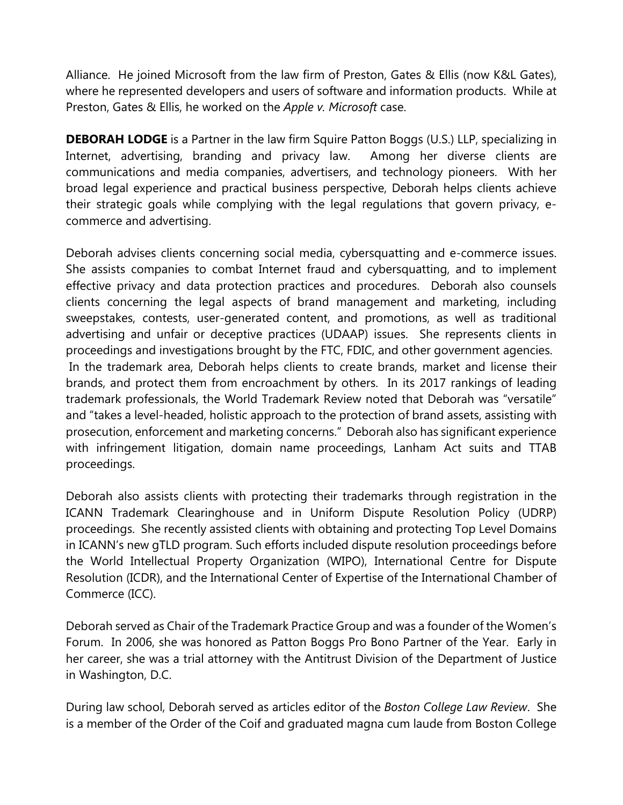Alliance. He joined Microsoft from the law firm of Preston, Gates & Ellis (now K&L Gates), where he represented developers and users of software and information products. While at Preston, Gates & Ellis, he worked on the *Apple v. Microsoft* case.

**DEBORAH LODGE** is a Partner in the law firm Squire Patton Boggs (U.S.) LLP, specializing in Internet, advertising, branding and privacy law. Among her diverse clients are communications and media companies, advertisers, and technology pioneers. With her broad legal experience and practical business perspective, Deborah helps clients achieve their strategic goals while complying with the legal regulations that govern privacy, ecommerce and advertising.

Deborah advises clients concerning social media, cybersquatting and e-commerce issues. She assists companies to combat Internet fraud and cybersquatting, and to implement effective privacy and data protection practices and procedures. Deborah also counsels clients concerning the legal aspects of brand management and marketing, including sweepstakes, contests, user-generated content, and promotions, as well as traditional advertising and unfair or deceptive practices (UDAAP) issues. She represents clients in proceedings and investigations brought by the FTC, FDIC, and other government agencies. In the trademark area, Deborah helps clients to create brands, market and license their brands, and protect them from encroachment by others. In its 2017 rankings of leading trademark professionals, the World Trademark Review noted that Deborah was "versatile" and "takes a level-headed, holistic approach to the protection of brand assets, assisting with prosecution, enforcement and marketing concerns." Deborah also has significant experience with infringement litigation, domain name proceedings, Lanham Act suits and TTAB proceedings.

Deborah also assists clients with protecting their trademarks through registration in the ICANN Trademark Clearinghouse and in Uniform Dispute Resolution Policy (UDRP) proceedings. She recently assisted clients with obtaining and protecting Top Level Domains in ICANN's new gTLD program. Such efforts included dispute resolution proceedings before the World Intellectual Property Organization (WIPO), International Centre for Dispute Resolution (ICDR), and the International Center of Expertise of the International Chamber of Commerce (ICC).

Deborah served as Chair of the Trademark Practice Group and was a founder of the Women's Forum. In 2006, she was honored as Patton Boggs Pro Bono Partner of the Year. Early in her career, she was a trial attorney with the Antitrust Division of the Department of Justice in Washington, D.C.

During law school, Deborah served as articles editor of the *Boston College Law Review*. She is a member of the Order of the Coif and graduated magna cum laude from Boston College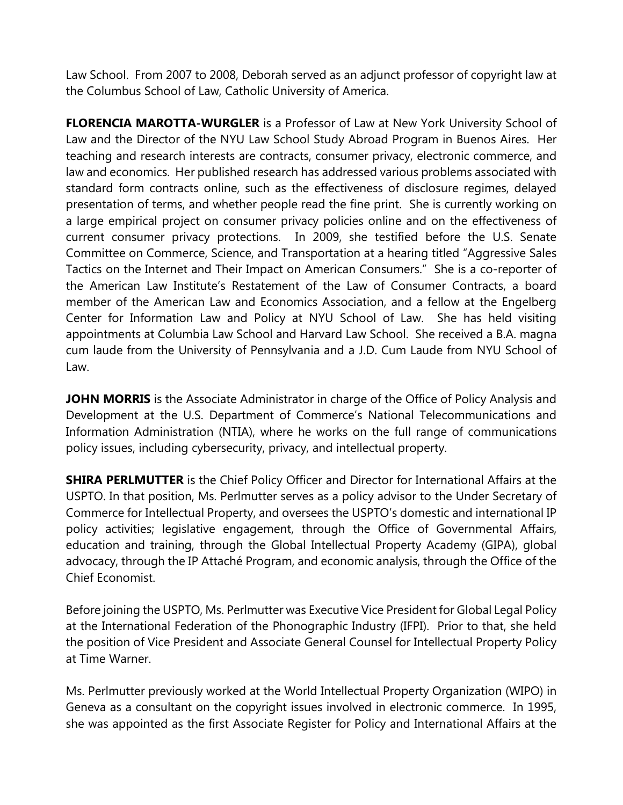Law School. From 2007 to 2008, Deborah served as an adjunct professor of copyright law at the Columbus School of Law, Catholic University of America.

**FLORENCIA MAROTTA-WURGLER** is a Professor of Law at New York University School of Law and the Director of the NYU Law School Study Abroad Program in Buenos Aires. Her teaching and research interests are contracts, consumer privacy, electronic commerce, and law and economics. Her published research has addressed various problems associated with standard form contracts online, such as the effectiveness of disclosure regimes, delayed presentation of terms, and whether people read the fine print. She is currently working on a large empirical project on consumer privacy policies online and on the effectiveness of current consumer privacy protections. In 2009, she testified before the U.S. Senate Committee on Commerce, Science, and Transportation at a hearing titled "Aggressive Sales Tactics on the Internet and Their Impact on American Consumers." She is a co-reporter of the American Law Institute's Restatement of the Law of Consumer Contracts, a board member of the American Law and Economics Association, and a fellow at the Engelberg Center for Information Law and Policy at NYU School of Law. She has held visiting appointments at Columbia Law School and Harvard Law School. She received a B.A. magna cum laude from the University of Pennsylvania and a J.D. Cum Laude from NYU School of Law.

**JOHN MORRIS** is the Associate Administrator in charge of the Office of Policy Analysis and Development at the U.S. Department of Commerce's National Telecommunications and Information Administration (NTIA), where he works on the full range of communications policy issues, including cybersecurity, privacy, and intellectual property.

**SHIRA PERLMUTTER** is the Chief Policy Officer and Director for International Affairs at the USPTO. In that position, Ms. Perlmutter serves as a policy advisor to the Under Secretary of Commerce for Intellectual Property, and oversees the USPTO's domestic and international IP policy activities; legislative engagement, through the Office of Governmental Affairs, education and training, through the Global Intellectual Property Academy (GIPA), global advocacy, through the IP Attaché Program, and economic analysis, through the Office of the Chief Economist.

Before joining the USPTO, Ms. Perlmutter was Executive Vice President for Global Legal Policy at the International Federation of the Phonographic Industry (IFPI). Prior to that, she held the position of Vice President and Associate General Counsel for Intellectual Property Policy at Time Warner.

Ms. Perlmutter previously worked at the World Intellectual Property Organization (WIPO) in Geneva as a consultant on the copyright issues involved in electronic commerce. In 1995, she was appointed as the first Associate Register for Policy and International Affairs at the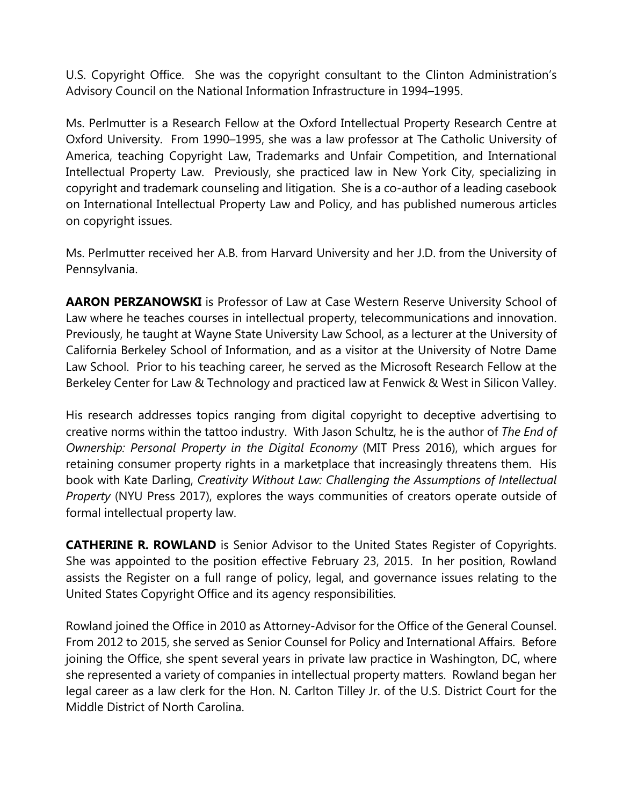U.S. Copyright Office. She was the copyright consultant to the Clinton Administration's Advisory Council on the National Information Infrastructure in 1994–1995.

Ms. Perlmutter is a Research Fellow at the Oxford Intellectual Property Research Centre at Oxford University. From 1990–1995, she was a law professor at The Catholic University of America, teaching Copyright Law, Trademarks and Unfair Competition, and International Intellectual Property Law. Previously, she practiced law in New York City, specializing in copyright and trademark counseling and litigation. She is a co-author of a leading casebook on International Intellectual Property Law and Policy, and has published numerous articles on copyright issues.

Ms. Perlmutter received her A.B. from Harvard University and her J.D. from the University of Pennsylvania.

**AARON PERZANOWSKI** is Professor of Law at Case Western Reserve University School of Law where he teaches courses in intellectual property, telecommunications and innovation. Previously, he taught at Wayne State University Law School, as a lecturer at the University of California Berkeley School of Information, and as a visitor at the University of Notre Dame Law School. Prior to his teaching career, he served as the Microsoft Research Fellow at the Berkeley Center for Law & Technology and practiced law at Fenwick & West in Silicon Valley.

His research addresses topics ranging from digital copyright to deceptive advertising to creative norms within the tattoo industry. With Jason Schultz, he is the author of *The End of Ownership: Personal Property in the Digital Economy* (MIT Press 2016), which argues for retaining consumer property rights in a marketplace that increasingly threatens them. His book with Kate Darling, *Creativity Without Law: Challenging the Assumptions of Intellectual Property* (NYU Press 2017), explores the ways communities of creators operate outside of formal intellectual property law.

**CATHERINE R. ROWLAND** is Senior Advisor to the United States Register of Copyrights. She was appointed to the position effective February 23, 2015. In her position, Rowland assists the Register on a full range of policy, legal, and governance issues relating to the United States Copyright Office and its agency responsibilities.

Rowland joined the Office in 2010 as Attorney-Advisor for the Office of the General Counsel. From 2012 to 2015, she served as Senior Counsel for Policy and International Affairs. Before joining the Office, she spent several years in private law practice in Washington, DC, where she represented a variety of companies in intellectual property matters. Rowland began her legal career as a law clerk for the Hon. N. Carlton Tilley Jr. of the U.S. District Court for the Middle District of North Carolina.